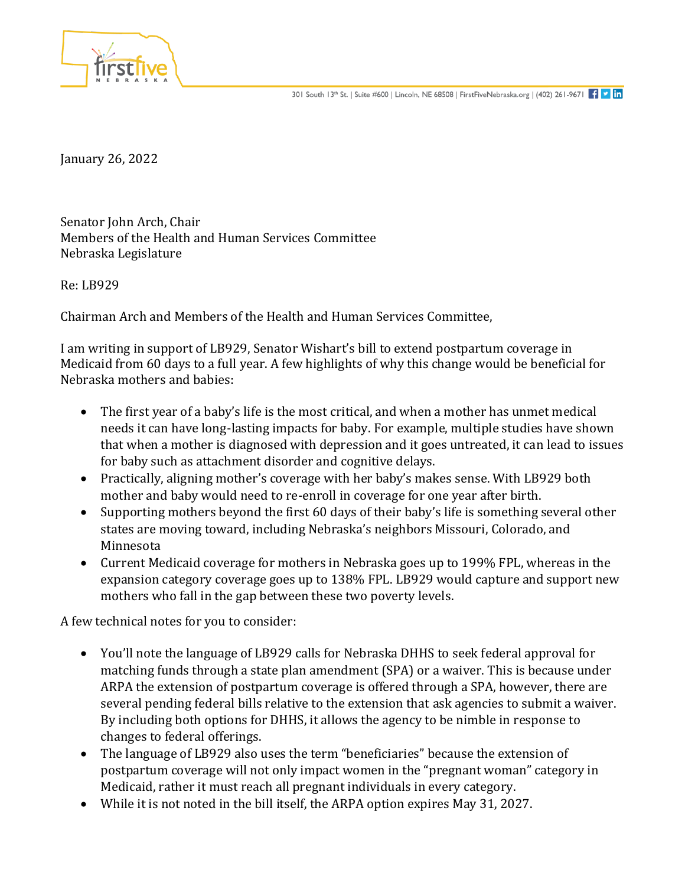

January 26, 2022

Senator John Arch, Chair Members of the Health and Human Services Committee Nebraska Legislature

Re: LB929

Chairman Arch and Members of the Health and Human Services Committee,

I am writing in support of LB929, Senator Wishart's bill to extend postpartum coverage in Medicaid from 60 days to a full year. A few highlights of why this change would be beneficial for Nebraska mothers and babies:

- The first year of a baby's life is the most critical, and when a mother has unmet medical needs it can have long-lasting impacts for baby. For example, multiple studies have shown that when a mother is diagnosed with depression and it goes untreated, it can lead to issues for baby such as attachment disorder and cognitive delays.
- Practically, aligning mother's coverage with her baby's makes sense. With LB929 both mother and baby would need to re-enroll in coverage for one year after birth.
- Supporting mothers beyond the first 60 days of their baby's life is something several other states are moving toward, including Nebraska's neighbors Missouri, Colorado, and Minnesota
- Current Medicaid coverage for mothers in Nebraska goes up to 199% FPL, whereas in the expansion category coverage goes up to 138% FPL. LB929 would capture and support new mothers who fall in the gap between these two poverty levels.

A few technical notes for you to consider:

- You'll note the language of LB929 calls for Nebraska DHHS to seek federal approval for matching funds through a state plan amendment (SPA) or a waiver. This is because under ARPA the extension of postpartum coverage is offered through a SPA, however, there are several pending federal bills relative to the extension that ask agencies to submit a waiver. By including both options for DHHS, it allows the agency to be nimble in response to changes to federal offerings.
- The language of LB929 also uses the term "beneficiaries" because the extension of postpartum coverage will not only impact women in the "pregnant woman" category in Medicaid, rather it must reach all pregnant individuals in every category.
- While it is not noted in the bill itself, the ARPA option expires May 31, 2027.